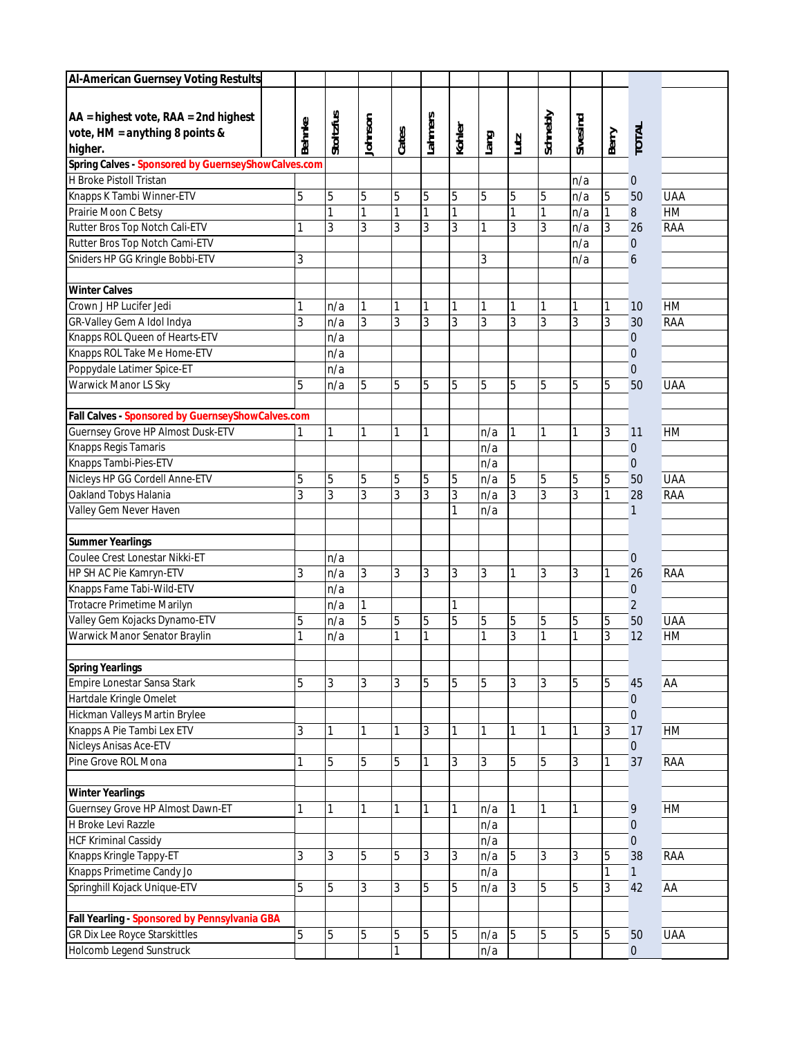| Schnebly<br>Stoltzfus<br>Lahmers<br>lohnson<br>Sivesind<br><b>Behnke</b><br>Kohler<br><b>TOTAL</b><br>vote, HM = anything 8 points &<br>Cates<br>Berry<br>Lang<br>Lutz<br>higher.<br>Spring Calves - Sponsored by GuernseyShowCalves.com<br>H Broke Pistoll Tristan<br>n/a<br>$\pmb{0}$<br>5<br>Knapps K Tambi Winner-ETV<br>5<br>5<br>5<br>5<br>5<br>5<br>5<br>5<br><b>UAA</b><br>5<br>n/a<br>50<br>1<br>1<br>Prairie Moon C Betsy<br>1<br>1<br>1<br><b>HM</b><br>1<br>1<br>n/a<br>$\boldsymbol{8}$<br>3<br>3<br>3<br>3<br>Rutter Bros Top Notch Cali-ETV<br>3<br>3<br>3<br>3<br>1<br>1<br>n/a<br>26<br><b>RAA</b><br>Rutter Bros Top Notch Cami-ETV<br>n/a<br>$\mathbf 0$<br>Sniders HP GG Kringle Bobbi-ETV<br>3<br>3<br>n/a<br>6<br><b>Winter Calves</b><br>Crown J HP Lucifer Jedi<br><b>HM</b><br>1<br>1<br>1<br>1<br>n/a<br>1<br>1<br>1<br>1<br>1<br>10<br>$\overline{3}$<br>3<br>3<br>3<br>3<br>3<br>3<br>3<br>3<br>3<br>GR-Valley Gem A Idol Indya<br>n/a<br>30<br><b>RAA</b><br>Knapps ROL Queen of Hearts-ETV<br>n/a<br>$\mathbf 0$<br>Knapps ROL Take Me Home-ETV<br>n/a<br>$\boldsymbol{0}$<br>Poppydale Latimer Spice-ET<br>n/a<br>$\boldsymbol{0}$<br>Warwick Manor LS Sky<br>5<br>5<br>5<br>5<br>5<br>5<br>5<br>5<br>5<br>5<br>50<br><b>UAA</b><br>n/a<br>Fall Calves - Sponsored by GuernseyShowCalves.com<br>Guernsey Grove HP Almost Dusk-ETV<br>1<br>3<br>1<br>1<br>1<br>1<br>1<br><b>HM</b><br>1<br>1<br>n/a<br>11<br>Knapps Regis Tamaris<br>n/a<br>$\mathbf 0$<br>Knapps Tambi-Pies-ETV<br>n/a<br>$\boldsymbol{0}$<br>Nicleys HP GG Cordell Anne-ETV<br>5<br>5<br>5<br>5<br>5<br>5<br>5<br>5<br>5<br>5<br><b>UAA</b><br>n/a<br>50<br>$\overline{3}$<br>3<br>3<br>3<br>3<br>Oakland Tobys Halania<br>3<br>3<br>3<br>3<br>n/a<br>1<br>28<br><b>RAA</b><br>Valley Gem Never Haven<br>n/a<br>1<br>1<br>Coulee Crest Lonestar Nikki-ET<br>n/a<br>$\mathbf 0$<br>3<br>3<br>3<br>3<br>HP SH AC Pie Kamryn-ETV<br>n/a<br>3<br>3<br>1<br>3<br>3<br>26<br><b>RAA</b><br>1<br>Knapps Fame Tabi-Wild-ETV<br>n/a<br>$\boldsymbol{0}$<br><b>Trotacre Primetime Marilyn</b><br>$\overline{2}$<br>n/a<br>5<br>Valley Gem Kojacks Dynamo-ETV<br>5<br>5<br>5<br>5<br>5<br>5<br>5<br><b>UAA</b><br>n/a<br>5<br>5<br>50<br>3<br>Warwick Manor Senator Braylin<br>$\mathbf{1}$<br>3<br>1<br>1<br>1<br>1<br>12<br>HM<br>n/a<br>1<br><b>Spring Yearlings</b><br>Empire Lonestar Sansa Stark<br>5<br>3<br>5<br>5<br>3<br>5<br>3<br>3<br>5<br>3<br>5<br>45<br>AA<br>Hartdale Kringle Omelet<br>$\mathbf 0$<br>Hickman Valleys Martin Brylee<br>$\mathbf{0}$<br>Knapps A Pie Tambi Lex ETV<br>3<br>3<br><b>HM</b><br>1<br>1<br>3<br>17<br>1<br>1<br>1<br>Nicleys Anisas Ace-ETV<br>$\pmb{0}$<br>Pine Grove ROL Mona<br>5<br>5<br>5<br>5<br>5<br>37<br><b>RAA</b><br>1<br>1<br>3<br>3<br>3<br>Guernsey Grove HP Almost Dawn-ET<br>HM<br>1<br>1<br>$\mathbf{9}$<br>1<br>1<br>n/a<br>1<br>n/a<br>$\mathbf 0$<br><b>HCF Kriminal Cassidy</b><br>n/a<br>$\mathbf{0}$<br>Knapps Kringle Tappy-ET<br>5<br>3<br>3<br>5<br>5<br>3<br>3<br>3<br>38<br><b>RAA</b><br>3<br>n/a<br>5<br>Knapps Primetime Candy Jo<br>n/a<br>1<br>$\mathbf{1}$<br>Springhill Kojack Unique-ETV<br>5<br>42<br>5<br>3<br>3<br>5<br>5<br>3<br>5<br>5<br>AA<br>n/a<br>3<br>Fall Yearling - Sponsored by Pennsylvania GBA<br>5<br>5<br>5<br>5<br>5<br>5<br>5<br><b>UAA</b><br>5<br>5<br>5<br>n/a<br>50<br>n/a<br>$\pmb{0}$ | <b>Al-American Guernsey Voting Restults</b> |  |  |  |  |  |  |  |
|--------------------------------------------------------------------------------------------------------------------------------------------------------------------------------------------------------------------------------------------------------------------------------------------------------------------------------------------------------------------------------------------------------------------------------------------------------------------------------------------------------------------------------------------------------------------------------------------------------------------------------------------------------------------------------------------------------------------------------------------------------------------------------------------------------------------------------------------------------------------------------------------------------------------------------------------------------------------------------------------------------------------------------------------------------------------------------------------------------------------------------------------------------------------------------------------------------------------------------------------------------------------------------------------------------------------------------------------------------------------------------------------------------------------------------------------------------------------------------------------------------------------------------------------------------------------------------------------------------------------------------------------------------------------------------------------------------------------------------------------------------------------------------------------------------------------------------------------------------------------------------------------------------------------------------------------------------------------------------------------------------------------------------------------------------------------------------------------------------------------------------------------------------------------------------------------------------------------------------------------------------------------------------------------------------------------------------------------------------------------------------------------------------------------------------------------------------------------------------------------------------------------------------------------------------------------------------------------------------------------------------------------------------------------------------------------------------------------------------------------------------------------------------------------------------------------------------------------------------------------------------------------------------------------------------------------------------------------------------------------------------------------------------------------------------------------------------------------------------------------------------------------------------------------------------------------------------------------------------------------------------------------------------------------------------------------------------------------------------------------------------------|---------------------------------------------|--|--|--|--|--|--|--|
|                                                                                                                                                                                                                                                                                                                                                                                                                                                                                                                                                                                                                                                                                                                                                                                                                                                                                                                                                                                                                                                                                                                                                                                                                                                                                                                                                                                                                                                                                                                                                                                                                                                                                                                                                                                                                                                                                                                                                                                                                                                                                                                                                                                                                                                                                                                                                                                                                                                                                                                                                                                                                                                                                                                                                                                                                                                                                                                                                                                                                                                                                                                                                                                                                                                                                                                                                                                      | $AA = highest vote, RAA = 2nd highest$      |  |  |  |  |  |  |  |
|                                                                                                                                                                                                                                                                                                                                                                                                                                                                                                                                                                                                                                                                                                                                                                                                                                                                                                                                                                                                                                                                                                                                                                                                                                                                                                                                                                                                                                                                                                                                                                                                                                                                                                                                                                                                                                                                                                                                                                                                                                                                                                                                                                                                                                                                                                                                                                                                                                                                                                                                                                                                                                                                                                                                                                                                                                                                                                                                                                                                                                                                                                                                                                                                                                                                                                                                                                                      |                                             |  |  |  |  |  |  |  |
|                                                                                                                                                                                                                                                                                                                                                                                                                                                                                                                                                                                                                                                                                                                                                                                                                                                                                                                                                                                                                                                                                                                                                                                                                                                                                                                                                                                                                                                                                                                                                                                                                                                                                                                                                                                                                                                                                                                                                                                                                                                                                                                                                                                                                                                                                                                                                                                                                                                                                                                                                                                                                                                                                                                                                                                                                                                                                                                                                                                                                                                                                                                                                                                                                                                                                                                                                                                      |                                             |  |  |  |  |  |  |  |
|                                                                                                                                                                                                                                                                                                                                                                                                                                                                                                                                                                                                                                                                                                                                                                                                                                                                                                                                                                                                                                                                                                                                                                                                                                                                                                                                                                                                                                                                                                                                                                                                                                                                                                                                                                                                                                                                                                                                                                                                                                                                                                                                                                                                                                                                                                                                                                                                                                                                                                                                                                                                                                                                                                                                                                                                                                                                                                                                                                                                                                                                                                                                                                                                                                                                                                                                                                                      |                                             |  |  |  |  |  |  |  |
|                                                                                                                                                                                                                                                                                                                                                                                                                                                                                                                                                                                                                                                                                                                                                                                                                                                                                                                                                                                                                                                                                                                                                                                                                                                                                                                                                                                                                                                                                                                                                                                                                                                                                                                                                                                                                                                                                                                                                                                                                                                                                                                                                                                                                                                                                                                                                                                                                                                                                                                                                                                                                                                                                                                                                                                                                                                                                                                                                                                                                                                                                                                                                                                                                                                                                                                                                                                      |                                             |  |  |  |  |  |  |  |
|                                                                                                                                                                                                                                                                                                                                                                                                                                                                                                                                                                                                                                                                                                                                                                                                                                                                                                                                                                                                                                                                                                                                                                                                                                                                                                                                                                                                                                                                                                                                                                                                                                                                                                                                                                                                                                                                                                                                                                                                                                                                                                                                                                                                                                                                                                                                                                                                                                                                                                                                                                                                                                                                                                                                                                                                                                                                                                                                                                                                                                                                                                                                                                                                                                                                                                                                                                                      |                                             |  |  |  |  |  |  |  |
|                                                                                                                                                                                                                                                                                                                                                                                                                                                                                                                                                                                                                                                                                                                                                                                                                                                                                                                                                                                                                                                                                                                                                                                                                                                                                                                                                                                                                                                                                                                                                                                                                                                                                                                                                                                                                                                                                                                                                                                                                                                                                                                                                                                                                                                                                                                                                                                                                                                                                                                                                                                                                                                                                                                                                                                                                                                                                                                                                                                                                                                                                                                                                                                                                                                                                                                                                                                      |                                             |  |  |  |  |  |  |  |
|                                                                                                                                                                                                                                                                                                                                                                                                                                                                                                                                                                                                                                                                                                                                                                                                                                                                                                                                                                                                                                                                                                                                                                                                                                                                                                                                                                                                                                                                                                                                                                                                                                                                                                                                                                                                                                                                                                                                                                                                                                                                                                                                                                                                                                                                                                                                                                                                                                                                                                                                                                                                                                                                                                                                                                                                                                                                                                                                                                                                                                                                                                                                                                                                                                                                                                                                                                                      |                                             |  |  |  |  |  |  |  |
|                                                                                                                                                                                                                                                                                                                                                                                                                                                                                                                                                                                                                                                                                                                                                                                                                                                                                                                                                                                                                                                                                                                                                                                                                                                                                                                                                                                                                                                                                                                                                                                                                                                                                                                                                                                                                                                                                                                                                                                                                                                                                                                                                                                                                                                                                                                                                                                                                                                                                                                                                                                                                                                                                                                                                                                                                                                                                                                                                                                                                                                                                                                                                                                                                                                                                                                                                                                      |                                             |  |  |  |  |  |  |  |
|                                                                                                                                                                                                                                                                                                                                                                                                                                                                                                                                                                                                                                                                                                                                                                                                                                                                                                                                                                                                                                                                                                                                                                                                                                                                                                                                                                                                                                                                                                                                                                                                                                                                                                                                                                                                                                                                                                                                                                                                                                                                                                                                                                                                                                                                                                                                                                                                                                                                                                                                                                                                                                                                                                                                                                                                                                                                                                                                                                                                                                                                                                                                                                                                                                                                                                                                                                                      |                                             |  |  |  |  |  |  |  |
|                                                                                                                                                                                                                                                                                                                                                                                                                                                                                                                                                                                                                                                                                                                                                                                                                                                                                                                                                                                                                                                                                                                                                                                                                                                                                                                                                                                                                                                                                                                                                                                                                                                                                                                                                                                                                                                                                                                                                                                                                                                                                                                                                                                                                                                                                                                                                                                                                                                                                                                                                                                                                                                                                                                                                                                                                                                                                                                                                                                                                                                                                                                                                                                                                                                                                                                                                                                      |                                             |  |  |  |  |  |  |  |
|                                                                                                                                                                                                                                                                                                                                                                                                                                                                                                                                                                                                                                                                                                                                                                                                                                                                                                                                                                                                                                                                                                                                                                                                                                                                                                                                                                                                                                                                                                                                                                                                                                                                                                                                                                                                                                                                                                                                                                                                                                                                                                                                                                                                                                                                                                                                                                                                                                                                                                                                                                                                                                                                                                                                                                                                                                                                                                                                                                                                                                                                                                                                                                                                                                                                                                                                                                                      |                                             |  |  |  |  |  |  |  |
|                                                                                                                                                                                                                                                                                                                                                                                                                                                                                                                                                                                                                                                                                                                                                                                                                                                                                                                                                                                                                                                                                                                                                                                                                                                                                                                                                                                                                                                                                                                                                                                                                                                                                                                                                                                                                                                                                                                                                                                                                                                                                                                                                                                                                                                                                                                                                                                                                                                                                                                                                                                                                                                                                                                                                                                                                                                                                                                                                                                                                                                                                                                                                                                                                                                                                                                                                                                      |                                             |  |  |  |  |  |  |  |
|                                                                                                                                                                                                                                                                                                                                                                                                                                                                                                                                                                                                                                                                                                                                                                                                                                                                                                                                                                                                                                                                                                                                                                                                                                                                                                                                                                                                                                                                                                                                                                                                                                                                                                                                                                                                                                                                                                                                                                                                                                                                                                                                                                                                                                                                                                                                                                                                                                                                                                                                                                                                                                                                                                                                                                                                                                                                                                                                                                                                                                                                                                                                                                                                                                                                                                                                                                                      |                                             |  |  |  |  |  |  |  |
|                                                                                                                                                                                                                                                                                                                                                                                                                                                                                                                                                                                                                                                                                                                                                                                                                                                                                                                                                                                                                                                                                                                                                                                                                                                                                                                                                                                                                                                                                                                                                                                                                                                                                                                                                                                                                                                                                                                                                                                                                                                                                                                                                                                                                                                                                                                                                                                                                                                                                                                                                                                                                                                                                                                                                                                                                                                                                                                                                                                                                                                                                                                                                                                                                                                                                                                                                                                      |                                             |  |  |  |  |  |  |  |
|                                                                                                                                                                                                                                                                                                                                                                                                                                                                                                                                                                                                                                                                                                                                                                                                                                                                                                                                                                                                                                                                                                                                                                                                                                                                                                                                                                                                                                                                                                                                                                                                                                                                                                                                                                                                                                                                                                                                                                                                                                                                                                                                                                                                                                                                                                                                                                                                                                                                                                                                                                                                                                                                                                                                                                                                                                                                                                                                                                                                                                                                                                                                                                                                                                                                                                                                                                                      |                                             |  |  |  |  |  |  |  |
|                                                                                                                                                                                                                                                                                                                                                                                                                                                                                                                                                                                                                                                                                                                                                                                                                                                                                                                                                                                                                                                                                                                                                                                                                                                                                                                                                                                                                                                                                                                                                                                                                                                                                                                                                                                                                                                                                                                                                                                                                                                                                                                                                                                                                                                                                                                                                                                                                                                                                                                                                                                                                                                                                                                                                                                                                                                                                                                                                                                                                                                                                                                                                                                                                                                                                                                                                                                      |                                             |  |  |  |  |  |  |  |
|                                                                                                                                                                                                                                                                                                                                                                                                                                                                                                                                                                                                                                                                                                                                                                                                                                                                                                                                                                                                                                                                                                                                                                                                                                                                                                                                                                                                                                                                                                                                                                                                                                                                                                                                                                                                                                                                                                                                                                                                                                                                                                                                                                                                                                                                                                                                                                                                                                                                                                                                                                                                                                                                                                                                                                                                                                                                                                                                                                                                                                                                                                                                                                                                                                                                                                                                                                                      |                                             |  |  |  |  |  |  |  |
|                                                                                                                                                                                                                                                                                                                                                                                                                                                                                                                                                                                                                                                                                                                                                                                                                                                                                                                                                                                                                                                                                                                                                                                                                                                                                                                                                                                                                                                                                                                                                                                                                                                                                                                                                                                                                                                                                                                                                                                                                                                                                                                                                                                                                                                                                                                                                                                                                                                                                                                                                                                                                                                                                                                                                                                                                                                                                                                                                                                                                                                                                                                                                                                                                                                                                                                                                                                      |                                             |  |  |  |  |  |  |  |
|                                                                                                                                                                                                                                                                                                                                                                                                                                                                                                                                                                                                                                                                                                                                                                                                                                                                                                                                                                                                                                                                                                                                                                                                                                                                                                                                                                                                                                                                                                                                                                                                                                                                                                                                                                                                                                                                                                                                                                                                                                                                                                                                                                                                                                                                                                                                                                                                                                                                                                                                                                                                                                                                                                                                                                                                                                                                                                                                                                                                                                                                                                                                                                                                                                                                                                                                                                                      |                                             |  |  |  |  |  |  |  |
|                                                                                                                                                                                                                                                                                                                                                                                                                                                                                                                                                                                                                                                                                                                                                                                                                                                                                                                                                                                                                                                                                                                                                                                                                                                                                                                                                                                                                                                                                                                                                                                                                                                                                                                                                                                                                                                                                                                                                                                                                                                                                                                                                                                                                                                                                                                                                                                                                                                                                                                                                                                                                                                                                                                                                                                                                                                                                                                                                                                                                                                                                                                                                                                                                                                                                                                                                                                      |                                             |  |  |  |  |  |  |  |
|                                                                                                                                                                                                                                                                                                                                                                                                                                                                                                                                                                                                                                                                                                                                                                                                                                                                                                                                                                                                                                                                                                                                                                                                                                                                                                                                                                                                                                                                                                                                                                                                                                                                                                                                                                                                                                                                                                                                                                                                                                                                                                                                                                                                                                                                                                                                                                                                                                                                                                                                                                                                                                                                                                                                                                                                                                                                                                                                                                                                                                                                                                                                                                                                                                                                                                                                                                                      |                                             |  |  |  |  |  |  |  |
|                                                                                                                                                                                                                                                                                                                                                                                                                                                                                                                                                                                                                                                                                                                                                                                                                                                                                                                                                                                                                                                                                                                                                                                                                                                                                                                                                                                                                                                                                                                                                                                                                                                                                                                                                                                                                                                                                                                                                                                                                                                                                                                                                                                                                                                                                                                                                                                                                                                                                                                                                                                                                                                                                                                                                                                                                                                                                                                                                                                                                                                                                                                                                                                                                                                                                                                                                                                      |                                             |  |  |  |  |  |  |  |
|                                                                                                                                                                                                                                                                                                                                                                                                                                                                                                                                                                                                                                                                                                                                                                                                                                                                                                                                                                                                                                                                                                                                                                                                                                                                                                                                                                                                                                                                                                                                                                                                                                                                                                                                                                                                                                                                                                                                                                                                                                                                                                                                                                                                                                                                                                                                                                                                                                                                                                                                                                                                                                                                                                                                                                                                                                                                                                                                                                                                                                                                                                                                                                                                                                                                                                                                                                                      |                                             |  |  |  |  |  |  |  |
|                                                                                                                                                                                                                                                                                                                                                                                                                                                                                                                                                                                                                                                                                                                                                                                                                                                                                                                                                                                                                                                                                                                                                                                                                                                                                                                                                                                                                                                                                                                                                                                                                                                                                                                                                                                                                                                                                                                                                                                                                                                                                                                                                                                                                                                                                                                                                                                                                                                                                                                                                                                                                                                                                                                                                                                                                                                                                                                                                                                                                                                                                                                                                                                                                                                                                                                                                                                      | <b>Summer Yearlings</b>                     |  |  |  |  |  |  |  |
|                                                                                                                                                                                                                                                                                                                                                                                                                                                                                                                                                                                                                                                                                                                                                                                                                                                                                                                                                                                                                                                                                                                                                                                                                                                                                                                                                                                                                                                                                                                                                                                                                                                                                                                                                                                                                                                                                                                                                                                                                                                                                                                                                                                                                                                                                                                                                                                                                                                                                                                                                                                                                                                                                                                                                                                                                                                                                                                                                                                                                                                                                                                                                                                                                                                                                                                                                                                      |                                             |  |  |  |  |  |  |  |
|                                                                                                                                                                                                                                                                                                                                                                                                                                                                                                                                                                                                                                                                                                                                                                                                                                                                                                                                                                                                                                                                                                                                                                                                                                                                                                                                                                                                                                                                                                                                                                                                                                                                                                                                                                                                                                                                                                                                                                                                                                                                                                                                                                                                                                                                                                                                                                                                                                                                                                                                                                                                                                                                                                                                                                                                                                                                                                                                                                                                                                                                                                                                                                                                                                                                                                                                                                                      |                                             |  |  |  |  |  |  |  |
|                                                                                                                                                                                                                                                                                                                                                                                                                                                                                                                                                                                                                                                                                                                                                                                                                                                                                                                                                                                                                                                                                                                                                                                                                                                                                                                                                                                                                                                                                                                                                                                                                                                                                                                                                                                                                                                                                                                                                                                                                                                                                                                                                                                                                                                                                                                                                                                                                                                                                                                                                                                                                                                                                                                                                                                                                                                                                                                                                                                                                                                                                                                                                                                                                                                                                                                                                                                      |                                             |  |  |  |  |  |  |  |
|                                                                                                                                                                                                                                                                                                                                                                                                                                                                                                                                                                                                                                                                                                                                                                                                                                                                                                                                                                                                                                                                                                                                                                                                                                                                                                                                                                                                                                                                                                                                                                                                                                                                                                                                                                                                                                                                                                                                                                                                                                                                                                                                                                                                                                                                                                                                                                                                                                                                                                                                                                                                                                                                                                                                                                                                                                                                                                                                                                                                                                                                                                                                                                                                                                                                                                                                                                                      |                                             |  |  |  |  |  |  |  |
|                                                                                                                                                                                                                                                                                                                                                                                                                                                                                                                                                                                                                                                                                                                                                                                                                                                                                                                                                                                                                                                                                                                                                                                                                                                                                                                                                                                                                                                                                                                                                                                                                                                                                                                                                                                                                                                                                                                                                                                                                                                                                                                                                                                                                                                                                                                                                                                                                                                                                                                                                                                                                                                                                                                                                                                                                                                                                                                                                                                                                                                                                                                                                                                                                                                                                                                                                                                      |                                             |  |  |  |  |  |  |  |
|                                                                                                                                                                                                                                                                                                                                                                                                                                                                                                                                                                                                                                                                                                                                                                                                                                                                                                                                                                                                                                                                                                                                                                                                                                                                                                                                                                                                                                                                                                                                                                                                                                                                                                                                                                                                                                                                                                                                                                                                                                                                                                                                                                                                                                                                                                                                                                                                                                                                                                                                                                                                                                                                                                                                                                                                                                                                                                                                                                                                                                                                                                                                                                                                                                                                                                                                                                                      |                                             |  |  |  |  |  |  |  |
|                                                                                                                                                                                                                                                                                                                                                                                                                                                                                                                                                                                                                                                                                                                                                                                                                                                                                                                                                                                                                                                                                                                                                                                                                                                                                                                                                                                                                                                                                                                                                                                                                                                                                                                                                                                                                                                                                                                                                                                                                                                                                                                                                                                                                                                                                                                                                                                                                                                                                                                                                                                                                                                                                                                                                                                                                                                                                                                                                                                                                                                                                                                                                                                                                                                                                                                                                                                      |                                             |  |  |  |  |  |  |  |
|                                                                                                                                                                                                                                                                                                                                                                                                                                                                                                                                                                                                                                                                                                                                                                                                                                                                                                                                                                                                                                                                                                                                                                                                                                                                                                                                                                                                                                                                                                                                                                                                                                                                                                                                                                                                                                                                                                                                                                                                                                                                                                                                                                                                                                                                                                                                                                                                                                                                                                                                                                                                                                                                                                                                                                                                                                                                                                                                                                                                                                                                                                                                                                                                                                                                                                                                                                                      |                                             |  |  |  |  |  |  |  |
|                                                                                                                                                                                                                                                                                                                                                                                                                                                                                                                                                                                                                                                                                                                                                                                                                                                                                                                                                                                                                                                                                                                                                                                                                                                                                                                                                                                                                                                                                                                                                                                                                                                                                                                                                                                                                                                                                                                                                                                                                                                                                                                                                                                                                                                                                                                                                                                                                                                                                                                                                                                                                                                                                                                                                                                                                                                                                                                                                                                                                                                                                                                                                                                                                                                                                                                                                                                      |                                             |  |  |  |  |  |  |  |
|                                                                                                                                                                                                                                                                                                                                                                                                                                                                                                                                                                                                                                                                                                                                                                                                                                                                                                                                                                                                                                                                                                                                                                                                                                                                                                                                                                                                                                                                                                                                                                                                                                                                                                                                                                                                                                                                                                                                                                                                                                                                                                                                                                                                                                                                                                                                                                                                                                                                                                                                                                                                                                                                                                                                                                                                                                                                                                                                                                                                                                                                                                                                                                                                                                                                                                                                                                                      |                                             |  |  |  |  |  |  |  |
|                                                                                                                                                                                                                                                                                                                                                                                                                                                                                                                                                                                                                                                                                                                                                                                                                                                                                                                                                                                                                                                                                                                                                                                                                                                                                                                                                                                                                                                                                                                                                                                                                                                                                                                                                                                                                                                                                                                                                                                                                                                                                                                                                                                                                                                                                                                                                                                                                                                                                                                                                                                                                                                                                                                                                                                                                                                                                                                                                                                                                                                                                                                                                                                                                                                                                                                                                                                      |                                             |  |  |  |  |  |  |  |
|                                                                                                                                                                                                                                                                                                                                                                                                                                                                                                                                                                                                                                                                                                                                                                                                                                                                                                                                                                                                                                                                                                                                                                                                                                                                                                                                                                                                                                                                                                                                                                                                                                                                                                                                                                                                                                                                                                                                                                                                                                                                                                                                                                                                                                                                                                                                                                                                                                                                                                                                                                                                                                                                                                                                                                                                                                                                                                                                                                                                                                                                                                                                                                                                                                                                                                                                                                                      |                                             |  |  |  |  |  |  |  |
|                                                                                                                                                                                                                                                                                                                                                                                                                                                                                                                                                                                                                                                                                                                                                                                                                                                                                                                                                                                                                                                                                                                                                                                                                                                                                                                                                                                                                                                                                                                                                                                                                                                                                                                                                                                                                                                                                                                                                                                                                                                                                                                                                                                                                                                                                                                                                                                                                                                                                                                                                                                                                                                                                                                                                                                                                                                                                                                                                                                                                                                                                                                                                                                                                                                                                                                                                                                      |                                             |  |  |  |  |  |  |  |
|                                                                                                                                                                                                                                                                                                                                                                                                                                                                                                                                                                                                                                                                                                                                                                                                                                                                                                                                                                                                                                                                                                                                                                                                                                                                                                                                                                                                                                                                                                                                                                                                                                                                                                                                                                                                                                                                                                                                                                                                                                                                                                                                                                                                                                                                                                                                                                                                                                                                                                                                                                                                                                                                                                                                                                                                                                                                                                                                                                                                                                                                                                                                                                                                                                                                                                                                                                                      |                                             |  |  |  |  |  |  |  |
|                                                                                                                                                                                                                                                                                                                                                                                                                                                                                                                                                                                                                                                                                                                                                                                                                                                                                                                                                                                                                                                                                                                                                                                                                                                                                                                                                                                                                                                                                                                                                                                                                                                                                                                                                                                                                                                                                                                                                                                                                                                                                                                                                                                                                                                                                                                                                                                                                                                                                                                                                                                                                                                                                                                                                                                                                                                                                                                                                                                                                                                                                                                                                                                                                                                                                                                                                                                      | <b>Winter Yearlings</b>                     |  |  |  |  |  |  |  |
|                                                                                                                                                                                                                                                                                                                                                                                                                                                                                                                                                                                                                                                                                                                                                                                                                                                                                                                                                                                                                                                                                                                                                                                                                                                                                                                                                                                                                                                                                                                                                                                                                                                                                                                                                                                                                                                                                                                                                                                                                                                                                                                                                                                                                                                                                                                                                                                                                                                                                                                                                                                                                                                                                                                                                                                                                                                                                                                                                                                                                                                                                                                                                                                                                                                                                                                                                                                      |                                             |  |  |  |  |  |  |  |
|                                                                                                                                                                                                                                                                                                                                                                                                                                                                                                                                                                                                                                                                                                                                                                                                                                                                                                                                                                                                                                                                                                                                                                                                                                                                                                                                                                                                                                                                                                                                                                                                                                                                                                                                                                                                                                                                                                                                                                                                                                                                                                                                                                                                                                                                                                                                                                                                                                                                                                                                                                                                                                                                                                                                                                                                                                                                                                                                                                                                                                                                                                                                                                                                                                                                                                                                                                                      | H Broke Levi Razzle                         |  |  |  |  |  |  |  |
|                                                                                                                                                                                                                                                                                                                                                                                                                                                                                                                                                                                                                                                                                                                                                                                                                                                                                                                                                                                                                                                                                                                                                                                                                                                                                                                                                                                                                                                                                                                                                                                                                                                                                                                                                                                                                                                                                                                                                                                                                                                                                                                                                                                                                                                                                                                                                                                                                                                                                                                                                                                                                                                                                                                                                                                                                                                                                                                                                                                                                                                                                                                                                                                                                                                                                                                                                                                      |                                             |  |  |  |  |  |  |  |
|                                                                                                                                                                                                                                                                                                                                                                                                                                                                                                                                                                                                                                                                                                                                                                                                                                                                                                                                                                                                                                                                                                                                                                                                                                                                                                                                                                                                                                                                                                                                                                                                                                                                                                                                                                                                                                                                                                                                                                                                                                                                                                                                                                                                                                                                                                                                                                                                                                                                                                                                                                                                                                                                                                                                                                                                                                                                                                                                                                                                                                                                                                                                                                                                                                                                                                                                                                                      |                                             |  |  |  |  |  |  |  |
|                                                                                                                                                                                                                                                                                                                                                                                                                                                                                                                                                                                                                                                                                                                                                                                                                                                                                                                                                                                                                                                                                                                                                                                                                                                                                                                                                                                                                                                                                                                                                                                                                                                                                                                                                                                                                                                                                                                                                                                                                                                                                                                                                                                                                                                                                                                                                                                                                                                                                                                                                                                                                                                                                                                                                                                                                                                                                                                                                                                                                                                                                                                                                                                                                                                                                                                                                                                      |                                             |  |  |  |  |  |  |  |
|                                                                                                                                                                                                                                                                                                                                                                                                                                                                                                                                                                                                                                                                                                                                                                                                                                                                                                                                                                                                                                                                                                                                                                                                                                                                                                                                                                                                                                                                                                                                                                                                                                                                                                                                                                                                                                                                                                                                                                                                                                                                                                                                                                                                                                                                                                                                                                                                                                                                                                                                                                                                                                                                                                                                                                                                                                                                                                                                                                                                                                                                                                                                                                                                                                                                                                                                                                                      |                                             |  |  |  |  |  |  |  |
|                                                                                                                                                                                                                                                                                                                                                                                                                                                                                                                                                                                                                                                                                                                                                                                                                                                                                                                                                                                                                                                                                                                                                                                                                                                                                                                                                                                                                                                                                                                                                                                                                                                                                                                                                                                                                                                                                                                                                                                                                                                                                                                                                                                                                                                                                                                                                                                                                                                                                                                                                                                                                                                                                                                                                                                                                                                                                                                                                                                                                                                                                                                                                                                                                                                                                                                                                                                      |                                             |  |  |  |  |  |  |  |
|                                                                                                                                                                                                                                                                                                                                                                                                                                                                                                                                                                                                                                                                                                                                                                                                                                                                                                                                                                                                                                                                                                                                                                                                                                                                                                                                                                                                                                                                                                                                                                                                                                                                                                                                                                                                                                                                                                                                                                                                                                                                                                                                                                                                                                                                                                                                                                                                                                                                                                                                                                                                                                                                                                                                                                                                                                                                                                                                                                                                                                                                                                                                                                                                                                                                                                                                                                                      |                                             |  |  |  |  |  |  |  |
|                                                                                                                                                                                                                                                                                                                                                                                                                                                                                                                                                                                                                                                                                                                                                                                                                                                                                                                                                                                                                                                                                                                                                                                                                                                                                                                                                                                                                                                                                                                                                                                                                                                                                                                                                                                                                                                                                                                                                                                                                                                                                                                                                                                                                                                                                                                                                                                                                                                                                                                                                                                                                                                                                                                                                                                                                                                                                                                                                                                                                                                                                                                                                                                                                                                                                                                                                                                      | <b>GR Dix Lee Royce Starskittles</b>        |  |  |  |  |  |  |  |
|                                                                                                                                                                                                                                                                                                                                                                                                                                                                                                                                                                                                                                                                                                                                                                                                                                                                                                                                                                                                                                                                                                                                                                                                                                                                                                                                                                                                                                                                                                                                                                                                                                                                                                                                                                                                                                                                                                                                                                                                                                                                                                                                                                                                                                                                                                                                                                                                                                                                                                                                                                                                                                                                                                                                                                                                                                                                                                                                                                                                                                                                                                                                                                                                                                                                                                                                                                                      | Holcomb Legend Sunstruck                    |  |  |  |  |  |  |  |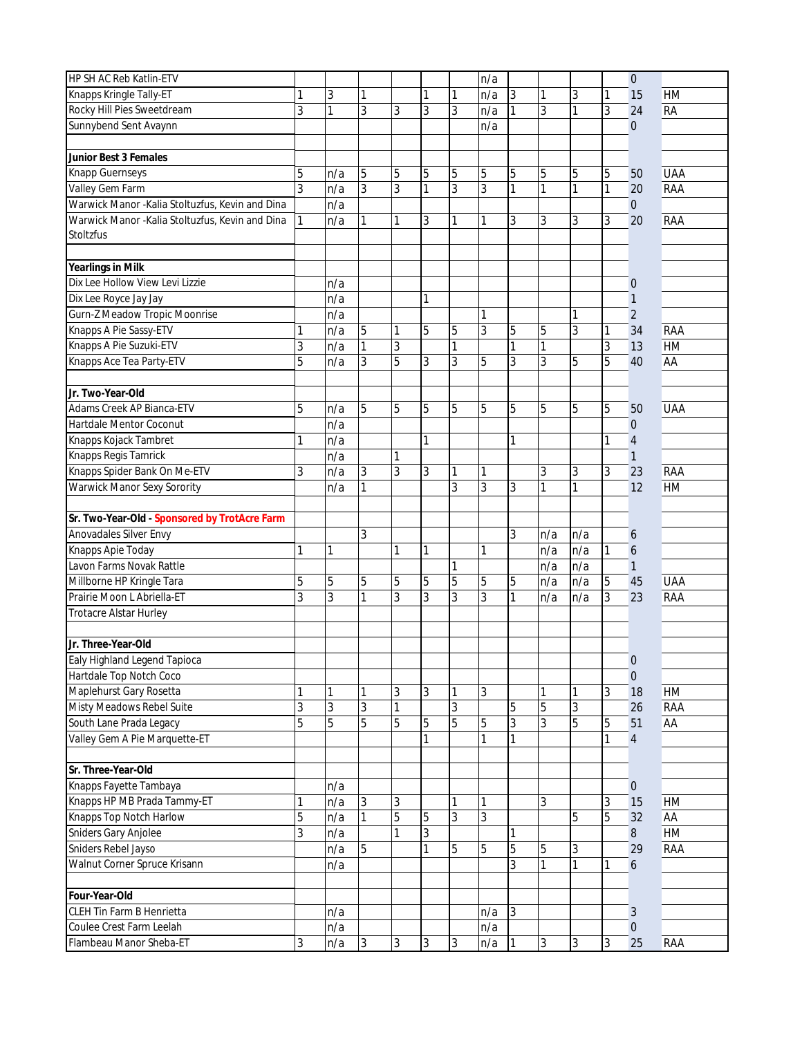| HP SH AC Reb Katlin-ETV                          |                |                |   |              |   |   | n/a |   |     |                |             | $\boldsymbol{0}$    |            |
|--------------------------------------------------|----------------|----------------|---|--------------|---|---|-----|---|-----|----------------|-------------|---------------------|------------|
| Knapps Kringle Tally-ET                          | 1              | 3              |   |              |   | 1 | n/a | 3 | 1   | 3              | 1           | 15                  | HM         |
| Rocky Hill Pies Sweetdream                       | 3              | 1              | 3 | 3            | 3 | 3 | n/a | 1 | 3   | 1              | 3           | 24                  | <b>RA</b>  |
| Sunnybend Sent Avaynn                            |                |                |   |              |   |   | n/a |   |     |                |             | $\overline{0}$      |            |
|                                                  |                |                |   |              |   |   |     |   |     |                |             |                     |            |
| Junior Best 3 Females                            |                |                |   |              |   |   |     |   |     |                |             |                     |            |
| Knapp Guernseys                                  | 5              | n/a            | 5 | 5            | 5 | 5 | 5   | 5 | 5   | 5              | 5           | 50                  | <b>UAA</b> |
| Valley Gem Farm                                  | 3              | n/a            | 3 | 3            | 1 | 3 | 3   | 1 | 1   | 1              | 1           | 20                  | RAA        |
| Warwick Manor -Kalia Stoltuzfus, Kevin and Dina  |                | n/a            |   |              |   |   |     |   |     |                |             | $\boldsymbol{0}$    |            |
| Warwick Manor - Kalia Stoltuzfus, Kevin and Dina | 1              | n/a            |   | 1            | 3 | 1 | 1   | 3 | 3   | 3              | 3           | 20                  | RAA        |
| Stoltzfus                                        |                |                |   |              |   |   |     |   |     |                |             |                     |            |
|                                                  |                |                |   |              |   |   |     |   |     |                |             |                     |            |
| Yearlings in Milk                                |                |                |   |              |   |   |     |   |     |                |             |                     |            |
| Dix Lee Hollow View Levi Lizzie                  |                | n/a            |   |              |   |   |     |   |     |                |             | $\theta$            |            |
| Dix Lee Royce Jay Jay                            |                | n/a            |   |              | 1 |   |     |   |     |                |             | $\mathbf{1}$        |            |
| Gurn-Z Meadow Tropic Moonrise                    |                | n/a            |   |              |   |   | 1   |   |     | 1              |             | $\overline{2}$      |            |
| Knapps A Pie Sassy-ETV                           | 1              | n/a            | 5 | 1            | 5 | 5 | 3   | 5 | 5   | 3              | 1           | 34                  | RAA        |
| Knapps A Pie Suzuki-ETV                          | 3              | n/a            | 1 | 3            |   | 1 |     | 1 | 1   |                | 3           | 13                  | HM         |
| Knapps Ace Tea Party-ETV                         | 5              | n/a            | 3 | 5            | 3 | 3 | 5   | 3 | 3   | 5              | 5           | 40                  | AA         |
|                                                  |                |                |   |              |   |   |     |   |     |                |             |                     |            |
| Jr. Two-Year-Old                                 |                |                |   |              |   |   |     |   |     |                |             |                     |            |
| Adams Creek AP Bianca-ETV                        | 5              | n/a            | 5 | 5            | 5 | 5 | 5   | 5 | 5   | 5              | 5           | 50                  | <b>UAA</b> |
| Hartdale Mentor Coconut                          |                | n/a            |   |              |   |   |     |   |     |                |             | $\mathbf 0$         |            |
| Knapps Kojack Tambret                            | 1              | n/a            |   |              | 1 |   |     | 1 |     |                | 1           | $\overline{4}$      |            |
| Knapps Regis Tamrick                             |                | n/a            |   | 1            |   |   |     |   |     |                |             | $\mathbf{1}$        |            |
| Knapps Spider Bank On Me-ETV                     | 3              | n/a            | 3 | 3            | 3 | 1 | 1   |   | 3   | 3              | 3           | 23                  | RAA        |
| Warwick Manor Sexy Sorority                      |                | n/a            |   |              |   | 3 | 3   | 3 | 1   | 1              |             | 12                  | HM         |
|                                                  |                |                |   |              |   |   |     |   |     |                |             |                     |            |
| Sr. Two-Year-Old - Sponsored by TrotAcre Farm    |                |                |   |              |   |   |     |   |     |                |             |                     |            |
| Anovadales Silver Envy                           |                |                | 3 |              |   |   |     | 3 | n/a | n/a            |             | 6                   |            |
| Knapps Apie Today                                | 1              | 1              |   | $\mathbf{1}$ | 1 |   | 1   |   | n/a | n/a            | 1           | $\ddot{\mathbf{6}}$ |            |
| Lavon Farms Novak Rattle                         |                |                |   |              |   |   |     |   | n/a | n/a            |             | $\mathbf{1}$        |            |
| Millborne HP Kringle Tara                        | 5              | 5              | 5 | 5            | 5 | 5 | 5   | 5 | n/a | n/a            | $\mathbf 5$ | 45                  | <b>UAA</b> |
| Prairie Moon L Abriella-ET                       | 3              | 3              | 1 | 3            | 3 | 3 | 3   | 1 | n/a | n/a            | 3           | 23                  | RAA        |
| Trotacre Alstar Hurley                           |                |                |   |              |   |   |     |   |     |                |             |                     |            |
|                                                  |                |                |   |              |   |   |     |   |     |                |             |                     |            |
| Jr. Three-Year-Old                               |                |                |   |              |   |   |     |   |     |                |             |                     |            |
| Ealy Highland Legend Tapioca                     |                |                |   |              |   |   |     |   |     |                |             | $\theta$            |            |
| Hartdale Top Notch Coco                          |                |                |   |              |   |   |     |   |     |                |             | $\overline{0}$      |            |
| Maplehurst Gary Rosetta                          | 1              |                |   | 3            | 3 |   | 3   |   |     |                | 3           | 18                  | HM         |
| Misty Meadows Rebel Suite                        | 3              | 3              | 3 |              |   | 3 |     | 5 | 5   | 3              |             | 26                  | RAA        |
| South Lane Prada Legacy                          | $\overline{5}$ | $\overline{5}$ | 5 | 5            | 5 | 5 | 5   | 3 | 3   | $\overline{5}$ | 5           | 51                  | AA         |
| Valley Gem A Pie Marquette-ET                    |                |                |   |              | 1 |   |     | 1 |     |                | 1           | $\overline{4}$      |            |
|                                                  |                |                |   |              |   |   |     |   |     |                |             |                     |            |
| Sr. Three-Year-Old                               |                |                |   |              |   |   |     |   |     |                |             |                     |            |
| Knapps Fayette Tambaya                           |                | n/a            |   |              |   |   |     |   |     |                |             | $\overline{0}$      |            |
| Knapps HP MB Prada Tammy-ET                      | 1              | n/a            | 3 | 3            |   |   | 1   |   | 3   |                | 3           | 15                  | HM         |
| Knapps Top Notch Harlow                          | 5              | n/a            | 1 | 5            | 5 | 3 | 3   |   |     | 5              | 5           | 32                  | AA         |
| Sniders Gary Anjolee                             | 3              | n/a            |   |              | 3 |   |     |   |     |                |             | 8                   | HM         |
| Sniders Rebel Jayso                              |                | n/a            | 5 |              | 1 | 5 | 5   | 5 | 5   | 3              |             | 29                  | RAA        |
| Walnut Corner Spruce Krisann                     |                | n/a            |   |              |   |   |     | 3 | 1   | 1              | 1           | 6                   |            |
|                                                  |                |                |   |              |   |   |     |   |     |                |             |                     |            |
| Four-Year-Old                                    |                |                |   |              |   |   |     |   |     |                |             |                     |            |
| CLEH Tin Farm B Henrietta                        |                | n/a            |   |              |   |   | n/a | 3 |     |                |             | 3                   |            |
| Coulee Crest Farm Leelah                         |                | n/a            |   |              |   |   | n/a |   |     |                |             | $\overline{0}$      |            |
| Flambeau Manor Sheba-ET                          | 3              | n/a            | 3 | 3            | 3 | 3 | n/a | 1 | 3   | 3              | 3           | 25                  | RAA        |